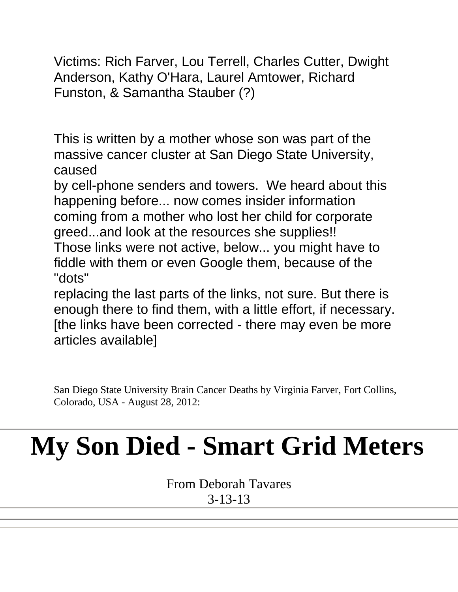Victims: Rich Farver, Lou Terrell, Charles Cutter, Dwight Anderson, Kathy O'Hara, Laurel Amtower, Richard Funston, & Samantha Stauber (?)

This is written by a mother whose son was part of the massive cancer cluster at San Diego State University, caused

by cell-phone senders and towers. We heard about this happening before... now comes insider information coming from a mother who lost her child for corporate greed...and look at the resources she supplies!!

Those links were not active, below... you might have to fiddle with them or even Google them, because of the "dots"

replacing the last parts of the links, not sure. But there is enough there to find them, with a little effort, if necessary. [the links have been corrected - there may even be more articles available]

San Diego State University Brain Cancer Deaths by Virginia Farver, Fort Collins, Colorado, USA - August 28, 2012:

## **My Son Died - Smart Grid Meters**

From Deborah Tavares 3-13-13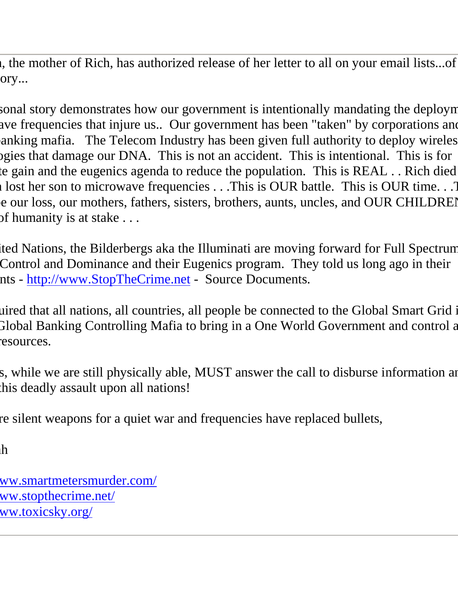If the mother of Rich, has authorized release of her letter to all on your email lists...of  $ory...$ 

sonal story demonstrates how our government is intentionally mandating the deployn ave frequencies that injure us.. Our government has been "taken" by corporations and anking mafia. The Telecom Industry has been given full authority to deploy wireles begies that damage our DNA. This is not an accident. This is intentional. This is for te gain and the eugenics agenda to reduce the population. This is REAL . . Rich died l lost her son to microwave frequencies  $\ldots$  This is OUR battle. This is OUR time. . .This is OUR time. e our loss, our mothers, fathers, sisters, brothers, aunts, uncles, and OUR CHILDREI of humanity is at stake  $\dots$ 

Ited Nations, the Bilderbergs aka the Illuminati are moving forward for Full Spectrum Control and Dominance and their Eugenics program. They told us long ago in their nts - [http://www.StopTheCrime.net](http://) - Source Documents.

Luired that all nations, all countries, all people be connected to the Global Smart Grid in Flobal Banking Controlling Mafia to bring in a One World Government and control a esources.

s, while we are still physically able, MUST answer the call to disburse information and this deadly assault upon all nations!

re silent weapons for a quiet war and frequencies have replaced bullets,

 $\hbox{h}$ 

[http://www.smartmetersmurder.com/](http://) ww.stopthecrime.net/ ww.toxicsky.org/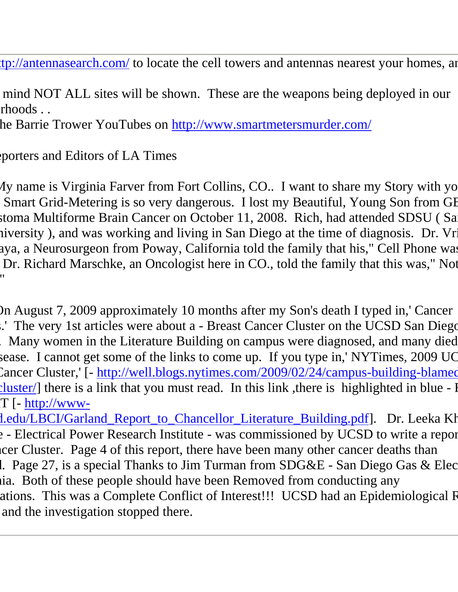tp://antennasearch.com/ to locate the cell towers and antennas nearest your homes, and

mind NOT ALL sites will be shown. These are the weapons being deployed in our rhoods . .

he Barrie Trower YouTubes on [http://www.smartmetersmurder.com/](http://)

porters and Editors of LA Times

My name is Virginia Farver from Fort Collins, CO.. I want to share my Story with yo Smart Grid-Metering is so very dangerous. I lost my Beautiful, Young Son from GB stoma Multiforme Brain Cancer on October 11, 2008. Rich, had attended SDSU ( Sa iversity ), and was working and living in San Diego at the time of diagnosis. Dr. Vr aya, a Neurosurgeon from Poway, California told the family that his," Cell Phone was Dr. Richard Marschke, an Oncologist here in CO., told the family that this was," Not l<br>"

 On August 7, 2009 approximately 10 months after my Son's death I typed in,' Cancer .' The very 1st articles were about a - Breast Cancer Cluster on the UCSD San Diego campus. Many women in the Literature Building on campus were diagnosed, and many died sease. I cannot get some of the links to come up. If you type in,' NYTimes, 2009 UC Cancer Cluster,' [- http://well.blogs.nytimes.com/2009/02/24/campus-building-blamedcluster/] there is a link that you must read. In this link, there is highlighted in blue - I  $T$  [- [http://www-](http://)

l.edu/LBCI/Garland\_Report\_to\_Chancellor\_Literature\_Building.pdf]. Dr. Leeka Kh from the - Electrical Power Research Institute - was commissioned by UCSD to write a report on their Cluster. Page 4 of this report, there have been many other cancer deaths than 1. Page 27, is a special Thanks to Jim Turman from  $SDG&E$  - San Diego Gas  $&E$ lec hia. Both of these people should have been Removed from conducting any ations. This was a Complete Conflict of Interest!!! UCSD had an Epidemiological R and the investigation stopped there.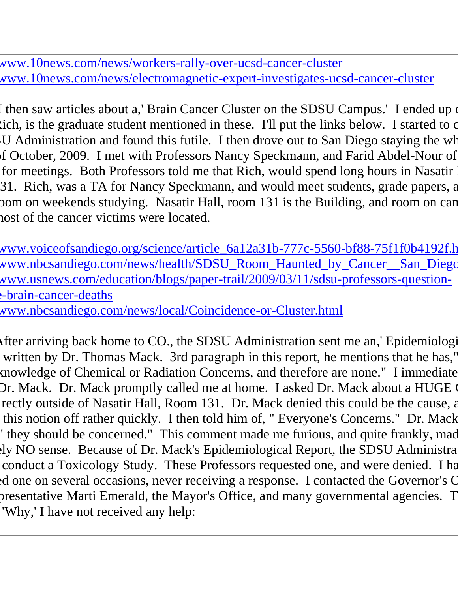www.10news.com/news/workers-rally-over-ucsd-cancer-cluster www.10news.com/news/electromagnetic-expert-investigates-ucsd-cancer-cluster

I then saw articles about a,' Brain Cancer Cluster on the SDSU Campus.' I ended up on  $\chi$ ich, is the graduate student mentioned in these. I'll put the links below. I started to contact U Administration and found this futile. I then drove out to San Diego staying the wh of October, 2009. I met with Professors Nancy Speckmann, and Farid Abdel-Nour of for meetings. Both Professors told me that Rich, would spend long hours in Nasatir Hall, 31. Rich, was a TA for Nancy Speckmann, and would meet students, grade papers, a from on weekends studying. Nasatir Hall, room 131 is the Building, and room on can nost of the cancer victims were located.

www.voiceofsandiego.org/science/article\_6a12a31b-777c-5560-bf88-75f1f0b4192f.h www.nbcsandiego.com/news/health/SDSU\_Room\_Haunted\_by\_Cancer\_\_San\_Diego www.usnews.com/education/blogs/paper-trail/2009/03/11/sdsu-professors-questione-brain-cancer-deaths

www.nbcsandiego.com/news/local/Coincidence-or-Cluster.html

After arriving back home to CO., the SDSU Administration sent me an,' Epidemiologi written by Dr. Thomas Mack. 3rd paragraph in this report, he mentions that he has," knowledge of Chemical or Radiation Concerns, and therefore are none." I immediate Dr. Mack. Dr. Mack promptly called me at home. I asked Dr. Mack about a HUGE 0 the irectly outside of Nasatir Hall, Room 131. Dr. Mack denied this could be the cause, and this notion off rather quickly. I then told him of, " Everyone's Concerns." Dr. Mack ' they should be concerned." This comment made me furious, and quite frankly, mad ly NO sense. Because of Dr. Mack's Epidemiological Report, the SDSU Administration conduct a Toxicology Study. These Professors requested one, and were denied. I ha requested one on several occasions, never receiving a response. I contacted the Governor's C presentative Marti Emerald, the Mayor's Office, and many governmental agencies. T 'Why,' I have not received any help: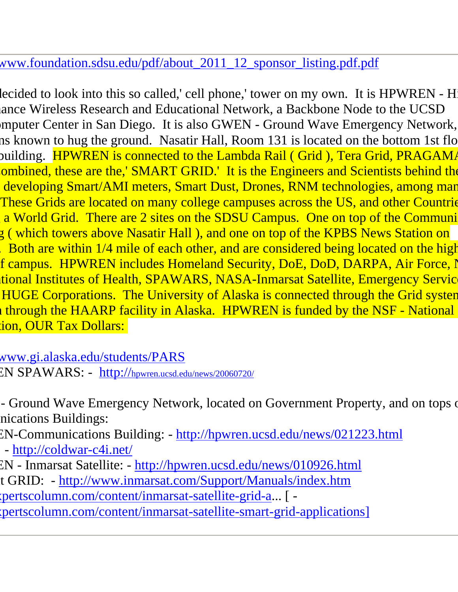## www.foundation.sdsu.edu/pdf/about\_2011\_12\_sponsor\_listing.pdf.pdf

lecided to look into this so called,' cell phone,' tower on my own. It is HPWREN - H ance Wireless Research and Educational Network, a Backbone Node to the UCSD mputer Center in San Diego. It is also GWEN - Ground Wave Emergency Network, ns known to hug the ground. Nasatir Hall, Room 131 is located on the bottom 1st flo ouilding. HPWREN is connected to the Lambda Rail ( Grid ), Tera Grid, PRAGAMA ombined, these are the,' SMART GRID.' It is the Engineers and Scientists behind the developing Smart/AMI meters, Smart Dust, Drones, RNM technologies, among man These Grids are located on many college campuses across the US, and other Countries a World Grid. There are 2 sites on the SDSU Campus. One on top of the Communications g ( which towers above Nasatir Hall ), and one on top of the KPBS News Station on Both are within  $1/4$  mile of each other, and are considered being located on the high f campus. HPWREN includes Homeland Security, DoE, DoD, DARPA, Air Force, N tional Institutes of Health, SPAWARS, NASA-Inmarsat Satellite, Emergency Servic HUGE Corporations. The University of Alaska is connected through the Grid system If through the HAARP facility in Alaska. HPWREN is funded by the NSF - National ion, OUR Tax Dollars:

www.gi.alaska.edu/students/PARS EN SPAWARS: - <http://>[hpwren.ucsd.edu/news/20060720/](http://)

- Ground Wave Emergency Network, located on Government Property, and on tops of nications Buildings:

EN-Communications Building: - [http://hpwren.ucsd.edu/news/021223.html](http://) - [http://coldwar-c4i.net/](http://)

EN - Inmarsat Satellite: - [http://hpwren.ucsd.edu/news/010926.html](http://) t GRID: - [http://www.inmarsat.com/Support/Manuals/index.htm](http://) httpertscolumn.com/content/inmarsat-satellite-grid-a... [ -

(pertscolumn.com/content/inmarsat-satellite-smart-grid-applications]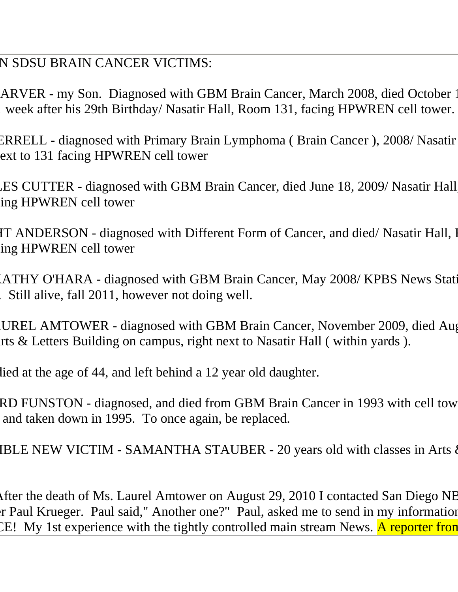N SDSU BRAIN CANCER VICTIMS:

ARVER - my Son. Diagnosed with GBM Brain Cancer, March 2008, died October 1 week after his 29th Birthday/ Nasatir Hall, Room 131, facing HPWREN cell tower.

ERRELL - diagnosed with Primary Brain Lymphoma (Brain Cancer), 2008/Nasatir ext to 131 facing HPWREN cell tower

ES CUTTER - diagnosed with GBM Brain Cancer, died June 18, 2009/ Nasatir Hall ing HPWREN cell tower

IT ANDERSON - diagnosed with Different Form of Cancer, and died/Nasatir Hall, I ing HPWREN cell tower

(ATHY O'HARA - diagnosed with GBM Brain Cancer, May 2008/ KPBS News Station  $\sim$  Still alive, fall 2011, however not doing well.

UREL AMTOWER - diagnosed with GBM Brain Cancer, November 2009, died Aug rts  $\&$  Letters Building on campus, right next to Nasatir Hall ( within yards ).

lied at the age of 44, and left behind a 12 year old daughter.

RD FUNSTON - diagnosed, and died from GBM Brain Cancer in 1993 with cell tow and taken down in 1995. To once again, be replaced.

IBLE NEW VICTIM - SAMANTHA STAUBER - 20 years old with classes in Arts of

After the death of Ms. Laurel Amtower on August 29, 2010 I contacted San Diego NB r Paul Krueger. Paul said," Another one?" Paul, asked me to send in my information CE! My 1st experience with the tightly controlled main stream News. A reporter from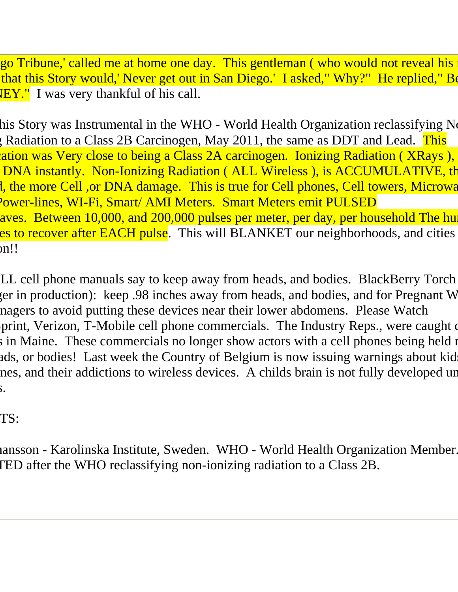go Tribune,' called me at home one day. This gentleman ( who would not reveal his name ) that this Story would,' Never get out in San Diego.' I asked," Why?" He replied," Be  $WY''$  I was very thankful of his call.

his Story was Instrumental in the WHO - World Health Organization reclassifying No Ionizion to a Class 2B Carcinogen, May 2011, the same as DDT and Lead. This classification was Very close to being a Class 2A carcinogen. Ionizing Radiation ( XRays ), DNA instantly. Non-Ionizing Radiation ( ALL Wireless ), is ACCUMULATIVE, the l, the more Cell ,or DNA damage. This is true for Cell phones, Cell towers, Microwa Power-lines, WI-Fi, Smart/ AMI Meters. Smart Meters emit PULSED aves. Between 10,000, and 200,000 pulses per meter, per day, per household The hu es to recover after EACH pulse. This will BLANKET our neighborhoods, and cities  $nn!!$ 

LL cell phone manuals say to keep away from heads, and bodies. BlackBerry Torch (er in production): keep .98 inches away from heads, and bodies, and for Pregnant W nagers to avoid putting these devices near their lower abdomens. Please Watch print, Verizon, T-Mobile cell phone commercials. The Industry Reps., were caught during in Maine. These commercials no longer show actors with a cell phones being held nearads, or bodies! Last week the Country of Belgium is now issuing warnings about kid nes, and their addictions to wireless devices. A childs brain is not fully developed un  $\mathbf{S}$ .

TS:

nansson - Karolinska Institute, Sweden. WHO - World Health Organization Member. TED after the WHO reclassifying non-ionizing radiation to a Class 2B.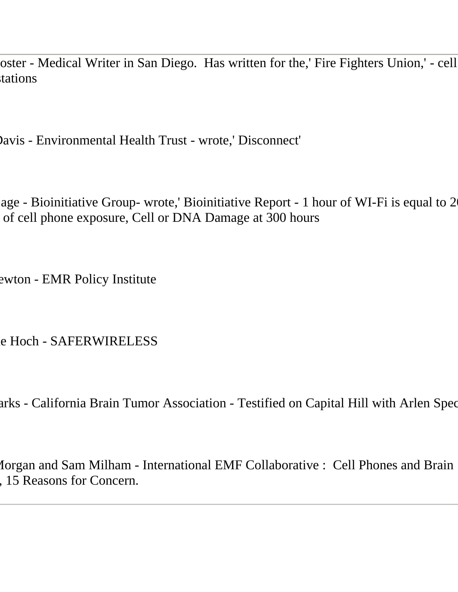oster - Medical Writer in San Diego. Has written for the,' Fire Fighters Union,' - cell tations

Davis - Environmental Health Trust - wrote,' Disconnect'

age - Bioinitiative Group- wrote,' Bioinitiative Report - 1 hour of WI-Fi is equal to 2 of cell phone exposure, Cell or DNA Damage at 300 hours

ewton - EMR Policy Institute

e Hoch - SAFERWIRELESS

arks - California Brain Tumor Association - Testified on Capital Hill with Arlen Spec

Lorgan and Sam Milham - International EMF Collaborative : Cell Phones and Brain , 15 Reasons for Concern.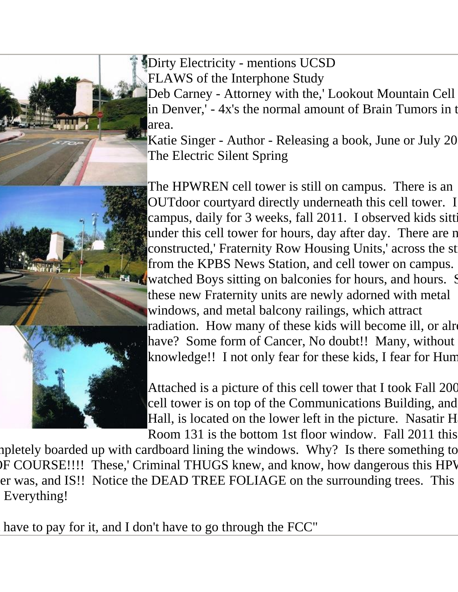

Dirty Electricity - mentions UCSD FLAWS of the Interphone Study

Deb Carney - Attorney with the,' Lookout Mountain Cell in Denver,' - 4x's the normal amount of Brain Tumors in t area.

Katie Singer - Author - Releasing a book, June or July 20 The Electric Silent Spring

The HPWREN cell tower is still on campus. There is an OUTdoor courtyard directly underneath this cell tower. I campus, daily for 3 weeks, fall 2011. I observed kids sitting under this cell tower for hours, day after day. There are n constructed,' Fraternity Row Housing Units,' across the st from the KPBS News Station, and cell tower on campus. watched Boys sitting on balconies for hours, and hours. Some these new Fraternity units are newly adorned with metal windows, and metal balcony railings, which attract radiation. How many of these kids will become ill, or already have? Some form of Cancer, No doubt!! Many, without knowledge!! I not only fear for these kids, I fear for Hum

Attached is a picture of this cell tower that I took Fall 200 cell tower is on top of the Communications Building, and Hall, is located on the lower left in the picture. Nasatir H Room 131 is the bottom 1st floor window. Fall 2011 this

mpletely boarded up with cardboard lining the windows. Why? Is there something to DF COURSE!!!! These,' Criminal THUGS knew, and know, how dangerous this HPV er was, and IS!! Notice the DEAD TREE FOLIAGE on the surrounding trees. This Everything!

have to pay for it, and I don't have to go through the FCC"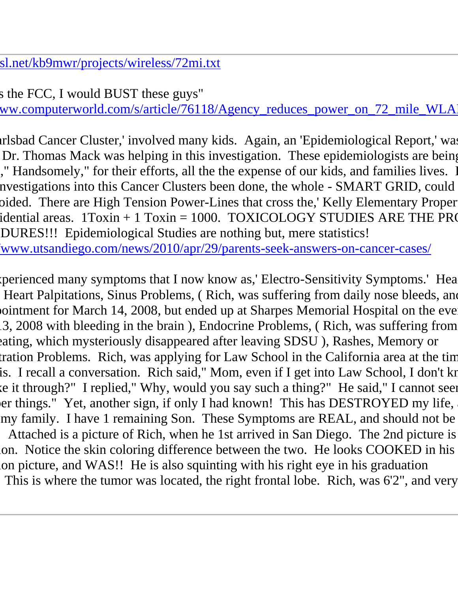sl.net/kb9mwr/projects/wireless/72mi.txt

s the FCC, I would BUST these guys" ww.computerworld.com/s/article/76118/Agency\_reduces\_power\_on\_72\_mile\_WLA

trisbad Cancer Cluster,' involved many kids. Again, an 'Epidemiological Report,' was Dr. Thomas Mack was helping in this investigation. These epidemiologists are being It Handsomely," for their efforts, all the the expense of our kids, and families lives. nvestigations into this Cancer Clusters been done, the whole - SMART GRID, could bided. There are High Tension Power-Lines that cross the,' Kelly Elementary Proper idential areas.  $1$ Toxin + 1 Toxin = 1000. TOXICOLOGY STUDIES ARE THE PRO DURES!!! Epidemiological Studies are nothing but, mere statistics! www.utsandiego.com/news/2010/apr/29/parents-seek-answers-on-cancer-cases/

reperienced many symptoms that I now know as,' Electro-Sensitivity Symptoms.' Hea Heart Palpitations, Sinus Problems, ( Rich, was suffering from daily nose bleeds, and oointment for March 14, 2008, but ended up at Sharpes Memorial Hospital on the eve 3, 2008 with bleeding in the brain), Endocrine Problems, (Rich, was suffering from eating, which mysteriously disappeared after leaving SDSU), Rashes, Memory or tration Problems. Rich, was applying for Law School in the California area at the tim is. I recall a conversation. Rich said," Mom, even if I get into Law School, I don't kn ce it through?" I replied," Why, would you say such a thing?" He said," I cannot seem er things." Yet, another sign, if only I had known! This has DESTROYED my life, my family. I have 1 remaining Son. These Symptoms are REAL, and should not be Attached is a picture of Rich, when he 1st arrived in San Diego. The 2nd picture is lon. Notice the skin coloring difference between the two. He looks COOKED in his on picture, and WAS!! He is also squinting with his right eye in his graduation This is where the tumor was located, the right frontal lobe. Rich, was 6'2", and very healthy!